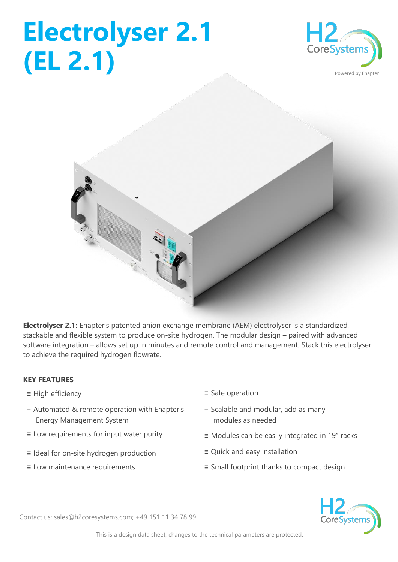## **Electrolyser 2.1 (EL 2.1)**





**Electrolyser 2.1:** Enapter's patented anion exchange membrane (AEM) electrolyser is a standardized, stackable and flexible system to produce on-site hydrogen. The modular design – paired with advanced software integration – allows set up in minutes and remote control and management. Stack this electrolyser to achieve the required hydrogen flowrate.

## **KEY FEATURES**

- 
- ≡ Automated & remote operation with Enapter's Energy Management System
- 
- ≡ Ideal for on-site hydrogen production ≡ Quick and easy installation
- 
- ≡ High efficiency ≡ Safe operation
	- ≡ Scalable and modular, add as many modules as needed
- ≡ Low requirements for input water purity ≡ Modules can be easily integrated in 19" racks
	-
- ≡ Low maintenance requirements ≡ Small footprint thanks to compact design



Contact us: sales@h2coresystems.com; +49 151 11 34 78 99